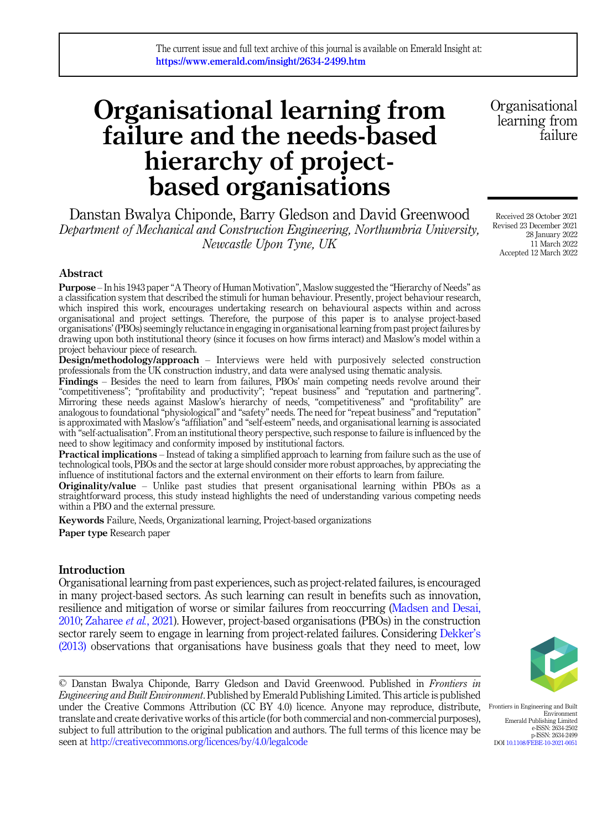# Organisational learning from failure and the needs-based hierarchy of projectbased organisations

Danstan Bwalya Chiponde, Barry Gledson and David Greenwood Department of Mechanical and Construction Engineering, Northumbria University, Newcastle Upon Tyne, UK

Abstract

Purpose – In his 1943 paper"A Theory of Human Motivation", Maslow suggested the "Hierarchy of Needs" as a classification system that described the stimuli for human behaviour. Presently, project behaviour research, which inspired this work, encourages undertaking research on behavioural aspects within and across organisational and project settings. Therefore, the purpose of this paper is to analyse project-based organisations' (PBOs) seemingly reluctance in engaging in organisational learning from past project failures by drawing upon both institutional theory (since it focuses on how firms interact) and Maslow's model within a project behaviour piece of research.

Design/methodology/approach – Interviews were held with purposively selected construction professionals from the UK construction industry, and data were analysed using thematic analysis.

Findings – Besides the need to learn from failures, PBOs' main competing needs revolve around their "competitiveness"; "profitability and productivity"; "repeat business" and "reputation and partnering". Mirroring these needs against Maslow's hierarchy of needs, "competitiveness" and "profitability" are analogous to foundational "physiological" and "safety" needs. The need for"repeat business" and "reputation" is approximated with Maslow's "affiliation" and "self-esteem" needs, and organisational learning is associated with "self-actualisation". From an institutional theory perspective, such response to failure is influenced by the need to show legitimacy and conformity imposed by institutional factors.

Practical implications – Instead of taking a simplified approach to learning from failure such as the use of technological tools, PBOs and the sector at large should consider more robust approaches, by appreciating the influence of institutional factors and the external environment on their efforts to learn from failure.

**Originality/value** – Unlike past studies that present organisational learning within PBOs as a straightforward process, this study instead highlights the need of understanding various competing needs within a PBO and the external pressure.

Keywords Failure, Needs, Organizational learning, Project-based organizations Paper type Research paper

# Introduction

Organisational learning from past experiences, such as project-related failures, is encouraged in many project-based sectors. As such learning can result in benefits such as innovation, resilience and mitigation of worse or similar failures from reoccurring [\(Madsen and Desai,](#page-10-0) [2010;](#page-10-0) [Zaharee](#page-11-0) et al., 2021). However, project-based organisations (PBOs) in the construction sector rarely seem to engage in learning from project-related failures. Considering [Dekker](#page-10-0)'s [\(2013\)](#page-10-0) observations that organisations have business goals that they need to meet, low



Environment

p-ISSN: 2634-2499

© Danstan Bwalya Chiponde, Barry Gledson and David Greenwood. Published in Frontiers in Engineering and Built Environment. Published by Emerald Publishing Limited. This article is published under the Creative Commons Attribution (CC BY 4.0) licence. Anyone may reproduce, distribute, translate and create derivative works of this article (for both commercial and non-commercial purposes), subject to full attribution to the original publication and authors. The full terms of this licence may be seen at <http://creativecommons.org/licences/by/4.0/legalcode> Frontiers in Engineering and Built Emerald Publishing Limited e-ISSN: 2634-2502 DOI [10.1108/FEBE-10-2021-0051](https://doi.org/10.1108/FEBE-10-2021-0051)

Organisational learning from failure

Received 28 October 2021 Revised 23 December 2021 28 January 2022 11 March 2022 Accepted 12 March 2022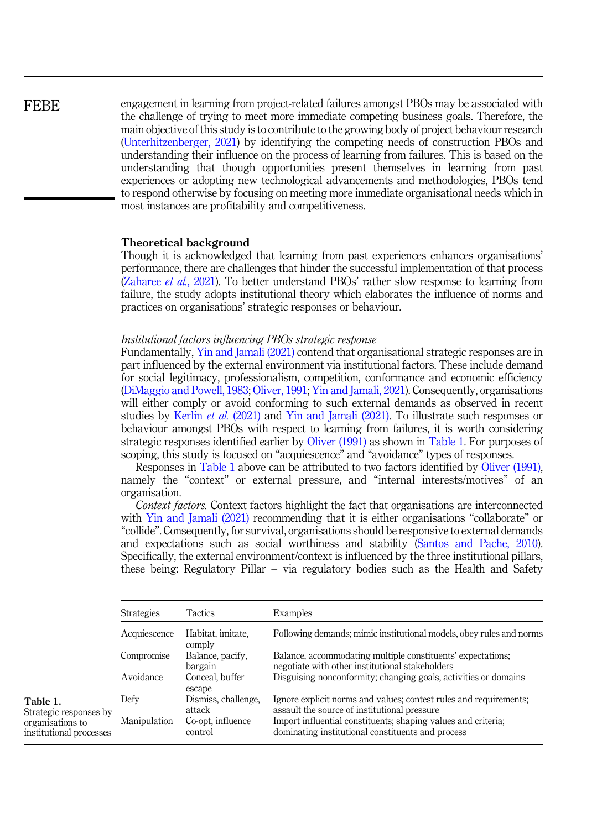<span id="page-1-0"></span>**FEBE** 

engagement in learning from project-related failures amongst PBOs may be associated with the challenge of trying to meet more immediate competing business goals. Therefore, the main objective of this study is to contribute to the growing body of project behaviour research ([Unterhitzenberger, 2021](#page-10-0)) by identifying the competing needs of construction PBOs and understanding their influence on the process of learning from failures. This is based on the understanding that though opportunities present themselves in learning from past experiences or adopting new technological advancements and methodologies, PBOs tend to respond otherwise by focusing on meeting more immediate organisational needs which in most instances are profitability and competitiveness.

# Theoretical background

Though it is acknowledged that learning from past experiences enhances organisations' performance, there are challenges that hinder the successful implementation of that process ([Zaharee](#page-11-0) et al., 2021). To better understand PBOs' rather slow response to learning from failure, the study adopts institutional theory which elaborates the influence of norms and practices on organisations' strategic responses or behaviour.

# Institutional factors influencing PBOs strategic response

Fundamentally, [Yin and Jamali \(2021\)](#page-11-0) contend that organisational strategic responses are in part influenced by the external environment via institutional factors. These include demand for social legitimacy, professionalism, competition, conformance and economic efficiency ([DiMaggio and Powell, 1983;](#page-10-0) [Oliver, 1991](#page-10-0); [Yin and Jamali, 2021](#page-11-0)). Consequently, organisations will either comply or avoid conforming to such external demands as observed in recent studies by [Kerlin](#page-10-0) et al. (2021) and [Yin and Jamali \(2021\).](#page-11-0) To illustrate such responses or behaviour amongst PBOs with respect to learning from failures, it is worth considering strategic responses identified earlier by [Oliver \(1991\)](#page-10-0) as shown in Table 1. For purposes of scoping, this study is focused on "acquiescence" and "avoidance" types of responses.

Responses in Table 1 above can be attributed to two factors identified by [Oliver \(1991\)](#page-10-0), namely the "context" or external pressure, and "internal interests/motives" of an organisation.

Context factors. Context factors highlight the fact that organisations are interconnected with [Yin and Jamali \(2021\)](#page-11-0) recommending that it is either organisations "collaborate" or "collide". Consequently, for survival, organisations should be responsive to external demands and expectations such as social worthiness and stability [\(Santos and Pache, 2010\)](#page-10-0). Specifically, the external environment/context is influenced by the three institutional pillars, these being: Regulatory Pillar – via regulatory bodies such as the Health and Safety

|                                                                                   | Tactics<br><b>Strategies</b> |                               | Examples                                                                                                           |  |  |
|-----------------------------------------------------------------------------------|------------------------------|-------------------------------|--------------------------------------------------------------------------------------------------------------------|--|--|
|                                                                                   | Acquiescence                 | Habitat, imitate,<br>comply   | Following demands; mimic institutional models, obey rules and norms                                                |  |  |
|                                                                                   | Compromise                   | Balance, pacify.<br>bargain   | Balance, accommodating multiple constituents' expectations;<br>negotiate with other institutional stakeholders     |  |  |
|                                                                                   | Avoidance                    | Conceal, buffer<br>escape     | Disguising nonconformity; changing goals, activities or domains                                                    |  |  |
| Table 1.<br>Strategic responses by<br>organisations to<br>institutional processes | Defy                         | Dismiss, challenge,<br>attack | Ignore explicit norms and values; contest rules and requirements;<br>assault the source of institutional pressure  |  |  |
|                                                                                   | Manipulation                 | Co-opt, influence<br>control  | Import influential constituents; shaping values and criteria;<br>dominating institutional constituents and process |  |  |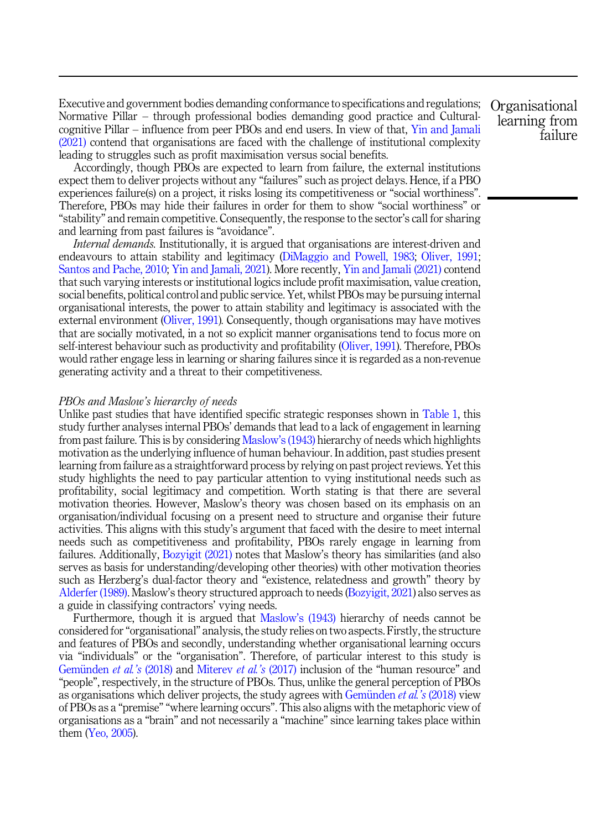Executive and government bodies demanding conformance to specifications and regulations; Normative Pillar – through professional bodies demanding good practice and Culturalcognitive Pillar – influence from peer PBOs and end users. In view of that, [Yin and Jamali](#page-11-0) [\(2021\)](#page-11-0) contend that organisations are faced with the challenge of institutional complexity leading to struggles such as profit maximisation versus social benefits.

Accordingly, though PBOs are expected to learn from failure, the external institutions expect them to deliver projects without any "failures" such as project delays. Hence, if a PBO experiences failure(s) on a project, it risks losing its competitiveness or "social worthiness". Therefore, PBOs may hide their failures in order for them to show "social worthiness" or "stability" and remain competitive. Consequently, the response to the sector's call for sharing and learning from past failures is "avoidance".

Internal demands. Institutionally, it is argued that organisations are interest-driven and endeavours to attain stability and legitimacy ([DiMaggio and Powell, 1983;](#page-10-0) [Oliver, 1991](#page-10-0); [Santos and Pache, 2010;](#page-10-0) [Yin and Jamali, 2021\)](#page-11-0). More recently, [Yin and Jamali \(2021\)](#page-11-0) contend that such varying interests or institutional logics include profit maximisation, value creation, social benefits, political control and public service. Yet, whilst PBOs may be pursuing internal organisational interests, the power to attain stability and legitimacy is associated with the external environment [\(Oliver, 1991](#page-10-0)). Consequently, though organisations may have motives that are socially motivated, in a not so explicit manner organisations tend to focus more on self-interest behaviour such as productivity and profitability ([Oliver, 1991\)](#page-10-0). Therefore, PBOs would rather engage less in learning or sharing failures since it is regarded as a non-revenue generating activity and a threat to their competitiveness.

#### PBOs and Maslow's hierarchy of needs

Unlike past studies that have identified specific strategic responses shown in [Table 1](#page-1-0), this study further analyses internal PBOs' demands that lead to a lack of engagement in learning from past failure. This is by considering [Maslow](#page-10-0)'s (1943) hierarchy of needs which highlights motivation as the underlying influence of human behaviour. In addition, past studies present learning from failure as a straightforward process by relying on past project reviews. Yet this study highlights the need to pay particular attention to vying institutional needs such as profitability, social legitimacy and competition. Worth stating is that there are several motivation theories. However, Maslow's theory was chosen based on its emphasis on an organisation/individual focusing on a present need to structure and organise their future activities. This aligns with this study's argument that faced with the desire to meet internal needs such as competitiveness and profitability, PBOs rarely engage in learning from failures. Additionally, [Bozyigit \(2021\)](#page-9-0) notes that Maslow's theory has similarities (and also serves as basis for understanding/developing other theories) with other motivation theories such as Herzberg's dual-factor theory and "existence, relatedness and growth" theory by [Alderfer \(1989\)](#page-9-0). Maslow's theory structured approach to needs [\(Bozyigit, 2021\)](#page-9-0) also serves as a guide in classifying contractors' vying needs.

Furthermore, though it is argued that Maslow'[s \(1943\)](#page-10-0) hierarchy of needs cannot be considered for"organisational" analysis, the study relies on two aspects. Firstly, the structure and features of PBOs and secondly, understanding whether organisational learning occurs via "individuals" or the "organisation". Therefore, of particular interest to this study is Gemünden et al.'s  $(2018)$  and [Miterev](#page-10-0) et al.'s  $(2017)$  inclusion of the "human resource" and "people", respectively, in the structure of PBOs. Thus, unlike the general perception of PBOs as organisations which deliver projects, the study agrees with Gemünden  $et al.'s$  [\(2018\)](#page-10-0) view of PBOs as a "premise" "where learning occurs". This also aligns with the metaphoric view of organisations as a "brain" and not necessarily a "machine" since learning takes place within them [\(Yeo, 2005\)](#page-11-0).

**Organisational** learning from failure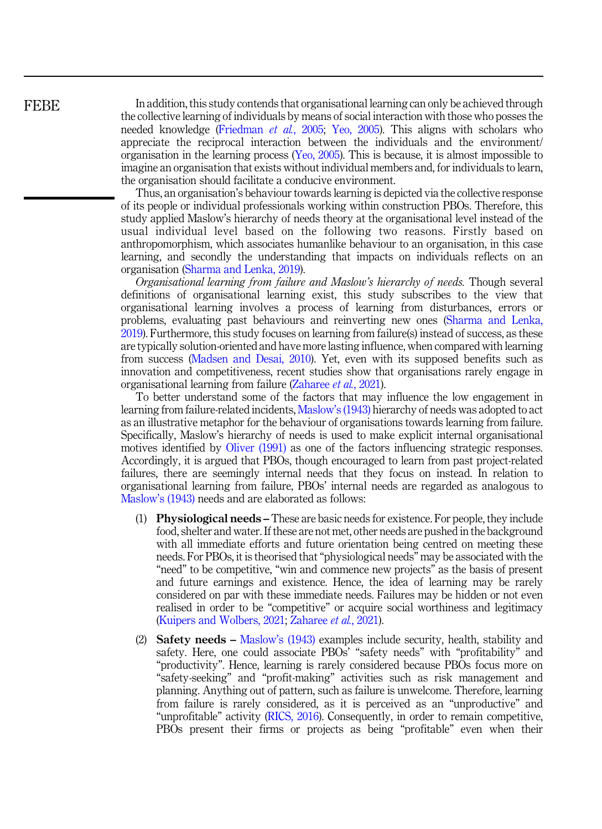In addition, this study contends that organisational learning can only be achieved through the collective learning of individuals by means of social interaction with those who posses the needed knowledge [\(Friedman](#page-10-0) et al., 2005; [Yeo, 2005](#page-11-0)). This aligns with scholars who appreciate the reciprocal interaction between the individuals and the environment/ organisation in the learning process ([Yeo, 2005\)](#page-11-0). This is because, it is almost impossible to imagine an organisation that exists without individual members and, for individuals to learn, the organisation should facilitate a conducive environment.

Thus, an organisation's behaviour towards learning is depicted via the collective response of its people or individual professionals working within construction PBOs. Therefore, this study applied Maslow's hierarchy of needs theory at the organisational level instead of the usual individual level based on the following two reasons. Firstly based on anthropomorphism, which associates humanlike behaviour to an organisation, in this case learning, and secondly the understanding that impacts on individuals reflects on an organisation ([Sharma and Lenka, 2019](#page-10-0)).

Organisational learning from failure and Maslow's hierarchy of needs. Though several definitions of organisational learning exist, this study subscribes to the view that organisational learning involves a process of learning from disturbances, errors or problems, evaluating past behaviours and reinverting new ones ([Sharma and Lenka,](#page-10-0) [2019\)](#page-10-0). Furthermore, this study focuses on learning from failure(s) instead of success, as these are typically solution-oriented and have more lasting influence, when compared with learning from success ([Madsen and Desai, 2010\)](#page-10-0). Yet, even with its supposed benefits such as innovation and competitiveness, recent studies show that organisations rarely engage in organisational learning from failure ([Zaharee](#page-11-0) et al., 2021).

To better understand some of the factors that may influence the low engagement in learning from failure-related incidents, [Maslow](#page-10-0)'s (1943) hierarchy of needs was adopted to act as an illustrative metaphor for the behaviour of organisations towards learning from failure. Specifically, Maslow's hierarchy of needs is used to make explicit internal organisational motives identified by [Oliver \(1991\)](#page-10-0) as one of the factors influencing strategic responses. Accordingly, it is argued that PBOs, though encouraged to learn from past project-related failures, there are seemingly internal needs that they focus on instead. In relation to organisational learning from failure, PBOs' internal needs are regarded as analogous to [Maslow](#page-10-0)'s (1943) needs and are elaborated as follows:

- (1) Physiological needs These are basic needs for existence. For people, they include food, shelter and water. If these are not met, other needs are pushed in the background with all immediate efforts and future orientation being centred on meeting these needs. For PBOs, it is theorised that"physiological needs" may be associated with the "need" to be competitive, "win and commence new projects" as the basis of present and future earnings and existence. Hence, the idea of learning may be rarely considered on par with these immediate needs. Failures may be hidden or not even realised in order to be "competitive" or acquire social worthiness and legitimacy ([Kuipers and Wolbers, 2021;](#page-10-0) [Zaharee](#page-11-0) et al., 2021).
- (2) Safety needs [Maslow](#page-10-0)'s (1943) examples include security, health, stability and safety. Here, one could associate PBOs' "safety needs" with "profitability" and "productivity". Hence, learning is rarely considered because PBOs focus more on "safety-seeking" and "profit-making" activities such as risk management and planning. Anything out of pattern, such as failure is unwelcome. Therefore, learning from failure is rarely considered, as it is perceived as an "unproductive" and "unprofitable" activity [\(RICS, 2016](#page-10-0)). Consequently, in order to remain competitive, PBOs present their firms or projects as being "profitable" even when their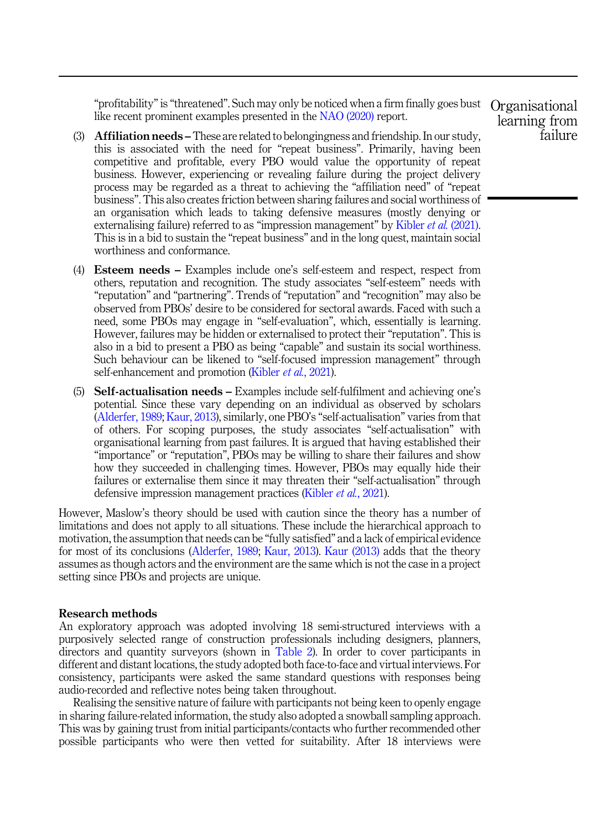"profitability" is "threatened". Such may only be noticed when a firm finally goes bust Organisational like recent prominent examples presented in the [NAO \(2020\)](#page-10-0) report.

- (3) Affiliation needs These are related to belongingness and friendship. In our study, this is associated with the need for "repeat business". Primarily, having been competitive and profitable, every PBO would value the opportunity of repeat business. However, experiencing or revealing failure during the project delivery process may be regarded as a threat to achieving the "affiliation need" of "repeat business". This also creates friction between sharing failures and social worthiness of an organisation which leads to taking defensive measures (mostly denying or externalising failure) referred to as "impression management" by [Kibler](#page-10-0) *et al.* (2021). This is in a bid to sustain the "repeat business" and in the long quest, maintain social worthiness and conformance.
- (4) Esteem needs Examples include one's self-esteem and respect, respect from others, reputation and recognition. The study associates "self-esteem" needs with "reputation" and "partnering". Trends of "reputation" and "recognition" may also be observed from PBOs' desire to be considered for sectoral awards. Faced with such a need, some PBOs may engage in "self-evaluation", which, essentially is learning. However, failures may be hidden or externalised to protect their "reputation". This is also in a bid to present a PBO as being "capable" and sustain its social worthiness. Such behaviour can be likened to "self-focused impression management" through self-enhancement and promotion [\(Kibler](#page-10-0) *et al.*, 2021).
- (5) Self-actualisation needs Examples include self-fulfilment and achieving one's potential. Since these vary depending on an individual as observed by scholars ([Alderfer, 1989;](#page-9-0) [Kaur, 2013](#page-10-0)), similarly, one PBO's "self-actualisation" varies from that of others. For scoping purposes, the study associates "self-actualisation" with organisational learning from past failures. It is argued that having established their "importance" or "reputation", PBOs may be willing to share their failures and show how they succeeded in challenging times. However, PBOs may equally hide their failures or externalise them since it may threaten their "self-actualisation" through defensive impression management practices ([Kibler](#page-10-0) *et al.*, 2021).

However, Maslow's theory should be used with caution since the theory has a number of limitations and does not apply to all situations. These include the hierarchical approach to motivation, the assumption that needs can be "fully satisfied" and a lack of empirical evidence for most of its conclusions [\(Alderfer, 1989;](#page-9-0) [Kaur, 2013\)](#page-10-0). [Kaur \(2013\)](#page-10-0) adds that the theory assumes as though actors and the environment are the same which is not the case in a project setting since PBOs and projects are unique.

#### Research methods

An exploratory approach was adopted involving 18 semi-structured interviews with a purposively selected range of construction professionals including designers, planners, directors and quantity surveyors (shown in [Table 2](#page-5-0)). In order to cover participants in different and distant locations, the study adopted both face-to-face and virtual interviews. For consistency, participants were asked the same standard questions with responses being audio-recorded and reflective notes being taken throughout.

Realising the sensitive nature of failure with participants not being keen to openly engage in sharing failure-related information, the study also adopted a snowball sampling approach. This was by gaining trust from initial participants/contacts who further recommended other possible participants who were then vetted for suitability. After 18 interviews were

learning from failure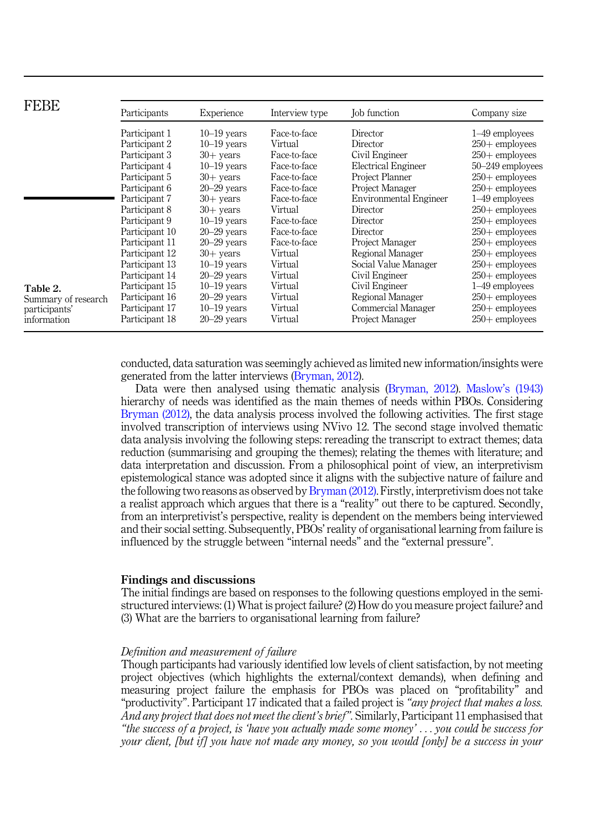<span id="page-5-0"></span>

| <b>FEBE</b>         | Participants   | Experience      | Interview type | Job function                  | Company size      |
|---------------------|----------------|-----------------|----------------|-------------------------------|-------------------|
| Table 2.            | Participant 1  | $10-19$ years   | Face-to-face   | Director                      | 1-49 employees    |
|                     | Participant 2  | $10-19$ years   | Virtual        | Director                      | $250 +$ employees |
|                     | Participant 3  | $30+$ vears     | Face-to-face   | Civil Engineer                | $250+$ employees  |
|                     | Participant 4  | $10-19$ years   | Face-to-face   | <b>Electrical Engineer</b>    | 50-249 employees  |
|                     | Participant 5  | $30+$ vears     | Face-to-face   | Project Planner               | $250+$ employees  |
|                     | Participant 6  | $20 - 29$ vears | Face-to-face   | Project Manager               | $250+$ employees  |
|                     | Participant 7  | $30+$ vears     | Face-to-face   | <b>Environmental Engineer</b> | 1-49 employees    |
|                     | Participant 8  | $30+$ vears     | Virtual        | Director                      | $250 +$ employees |
|                     | Participant 9  | $10-19$ years   | Face-to-face   | Director                      | $250+$ employees  |
|                     | Participant 10 | $20 - 29$ vears | Face-to-face   | Director                      | $250+$ employees  |
|                     | Participant 11 | $20 - 29$ vears | Face-to-face   | Project Manager               | $250 +$ employees |
|                     | Participant 12 | $30+$ vears     | Virtual        | Regional Manager              | $250+$ employees  |
|                     | Participant 13 | $10-19$ years   | Virtual        | Social Value Manager          | $250+$ employees  |
|                     | Participant 14 | $20 - 29$ vears | Virtual        | Civil Engineer                | $250+$ employees  |
|                     | Participant 15 | $10-19$ years   | Virtual        | Civil Engineer                | 1–49 employees    |
| Summary of research | Participant 16 | $20 - 29$ vears | Virtual        | Regional Manager              | $250+$ employees  |
| participants'       | Participant 17 | $10-19$ years   | Virtual        | Commercial Manager            | $250 +$ employees |
| information         | Participant 18 | $20 - 29$ years | Virtual        | Project Manager               | $250+$ employees  |

conducted, data saturation was seemingly achieved as limited new information/insights were generated from the latter interviews ([Bryman, 2012](#page-9-0)).

Data were then analysed using thematic analysis [\(Bryman, 2012](#page-9-0)). Maslow'[s \(1943\)](#page-10-0) hierarchy of needs was identified as the main themes of needs within PBOs. Considering [Bryman \(2012\),](#page-9-0) the data analysis process involved the following activities. The first stage involved transcription of interviews using NVivo 12. The second stage involved thematic data analysis involving the following steps: rereading the transcript to extract themes; data reduction (summarising and grouping the themes); relating the themes with literature; and data interpretation and discussion. From a philosophical point of view, an interpretivism epistemological stance was adopted since it aligns with the subjective nature of failure and the following two reasons as observed by [Bryman \(2012\)](#page-9-0). Firstly, interpretivism does not take a realist approach which argues that there is a "reality" out there to be captured. Secondly, from an interpretivist's perspective, reality is dependent on the members being interviewed and their social setting. Subsequently, PBOs' reality of organisational learning from failure is influenced by the struggle between "internal needs" and the "external pressure".

#### Findings and discussions

The initial findings are based on responses to the following questions employed in the semistructured interviews: (1) What is project failure? (2) How do you measure project failure? and (3) What are the barriers to organisational learning from failure?

#### Definition and measurement of failure

Though participants had variously identified low levels of client satisfaction, by not meeting project objectives (which highlights the external/context demands), when defining and measuring project failure the emphasis for PBOs was placed on "profitability" and "productivity". Participant 17 indicated that a failed project is "any project that makes a loss." And any project that does not meet the client's brief". Similarly, Participant 11 emphasised that "the success of a project, is 'have you actually made some money' ... you could be success for your client, [but if] you have not made any money, so you would [only] be a success in your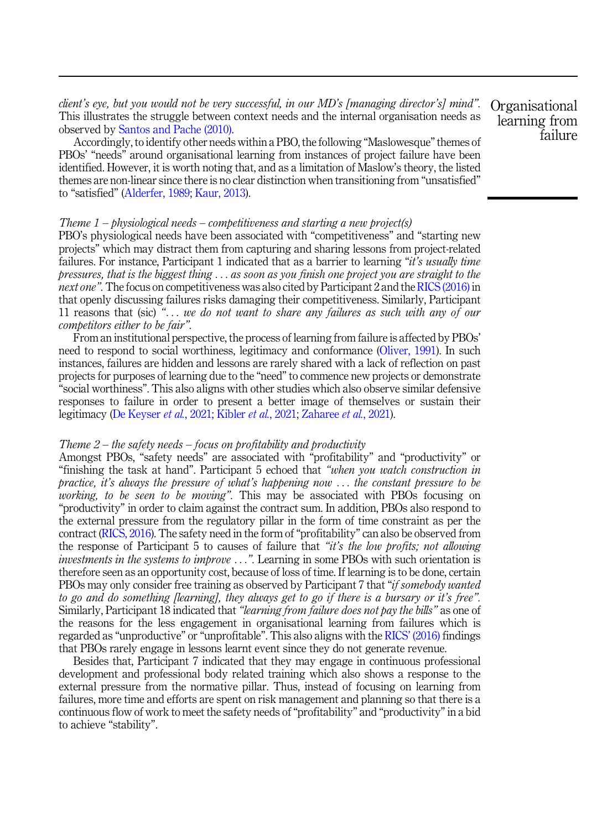client's eye, but you would not be very successful, in our MD's [managing director's] mind". This illustrates the struggle between context needs and the internal organisation needs as observed by [Santos and Pache \(2010\).](#page-10-0)

Accordingly, to identify other needs within a PBO, the following "Maslowesque"themes of PBOs' "needs" around organisational learning from instances of project failure have been identified. However, it is worth noting that, and as a limitation of Maslow's theory, the listed themes are non-linear since there is no clear distinction when transitioning from "unsatisfied" to "satisfied" ([Alderfer, 1989;](#page-9-0) [Kaur, 2013](#page-10-0)).

# Theme  $1$  – physiological needs – competitiveness and starting a new project(s)

PBO's physiological needs have been associated with "competitiveness" and "starting new projects" which may distract them from capturing and sharing lessons from project-related failures. For instance, Participant 1 indicated that as a barrier to learning "it's usually time pressures, that is the biggest thing ... as soon as you finish one project you are straight to the next one". The focus on competitiveness was also cited by Participant 2 and the [RICS \(2016\)](#page-10-0) in that openly discussing failures risks damaging their competitiveness. Similarly, Participant 11 reasons that (sic) " $\dots$  we do not want to share any failures as such with any of our competitors either to be fair".

From an institutional perspective, the process of learning from failure is affected by PBOs' need to respond to social worthiness, legitimacy and conformance [\(Oliver, 1991\)](#page-10-0). In such instances, failures are hidden and lessons are rarely shared with a lack of reflection on past projects for purposes of learning due to the "need" to commence new projects or demonstrate "social worthiness". This also aligns with other studies which also observe similar defensive responses to failure in order to present a better image of themselves or sustain their legitimacy ([De Keyser](#page-10-0) et al., 2021; [Kibler](#page-10-0) et al., 2021; [Zaharee](#page-11-0) et al., 2021).

#### Theme  $2$  – the safety needs – focus on profitability and productivity

Amongst PBOs, "safety needs" are associated with "profitability" and "productivity" or "finishing the task at hand". Participant 5 echoed that "when you watch construction in practice, it's always the pressure of what's happening now  $\ldots$  the constant pressure to be working, to be seen to be moving". This may be associated with PBOs focusing on "productivity" in order to claim against the contract sum. In addition, PBOs also respond to the external pressure from the regulatory pillar in the form of time constraint as per the contract [\(RICS, 2016\)](#page-10-0). The safety need in the form of"profitability" can also be observed from the response of Participant 5 to causes of failure that "it's the low profits; not allowing investments in the systems to improve ...". Learning in some PBOs with such orientation is therefore seen as an opportunity cost, because of loss of time. If learning is to be done, certain PBOs may only consider free training as observed by Participant 7 that "*if somebody wanted* to go and do something [learning], they always get to go if there is a bursary or it's free". Similarly, Participant 18 indicated that "learning from failure does not pay the bills" as one of the reasons for the less engagement in organisational learning from failures which is regarded as "unproductive" or "unprofitable". This also aligns with the RICS' [\(2016\)](#page-10-0) findings that PBOs rarely engage in lessons learnt event since they do not generate revenue.

Besides that, Participant 7 indicated that they may engage in continuous professional development and professional body related training which also shows a response to the external pressure from the normative pillar. Thus, instead of focusing on learning from failures, more time and efforts are spent on risk management and planning so that there is a continuous flow of work to meet the safety needs of"profitability" and "productivity" in a bid to achieve "stability".

**Organisational** learning from failure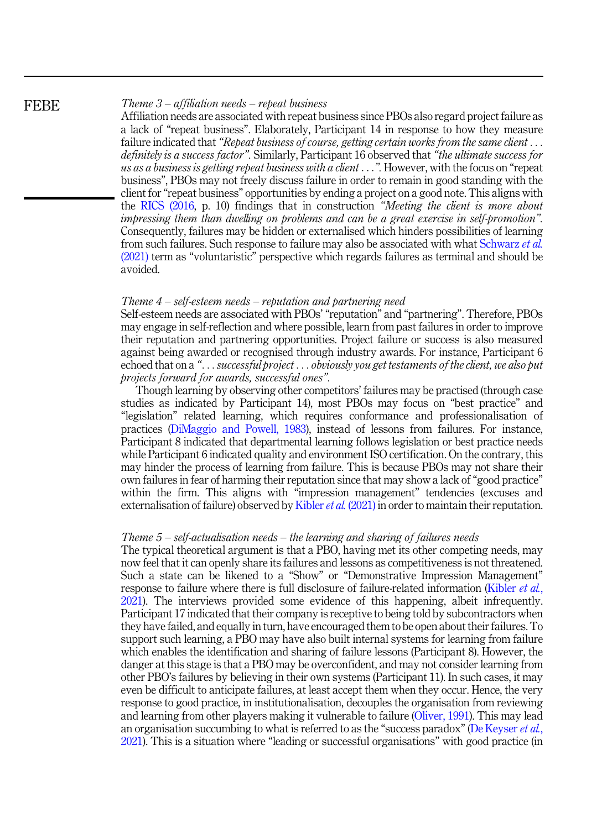#### Theme  $3$  – affiliation needs – repeat business

Affiliation needs are associated with repeat business since PBOs also regard project failure as a lack of "repeat business". Elaborately, Participant 14 in response to how they measure failure indicated that "Repeat business of course, getting certain works from the same client  $\dots$ definitely is a success factor". Similarly, Participant 16 observed that "the ultimate success for us as a business is getting repeat business with a client ...". However, with the focus on "repeat" business", PBOs may not freely discuss failure in order to remain in good standing with the client for"repeat business" opportunities by ending a project on a good note. This aligns with the [RICS \(2016](#page-10-0), p. 10) findings that in construction "Meeting the client is more about impressing them than dwelling on problems and can be a great exercise in self-promotion". Consequently, failures may be hidden or externalised which hinders possibilities of learning from such failures. Such response to failure may also be associated with what [Schwarz](#page-10-0) et al. [\(2021\)](#page-10-0) term as "voluntaristic" perspective which regards failures as terminal and should be avoided.

#### Theme 4 – self-esteem needs – reputation and partnering need

Self-esteem needs are associated with PBOs' "reputation" and "partnering". Therefore, PBOs may engage in self-reflection and where possible, learn from past failures in order to improve their reputation and partnering opportunities. Project failure or success is also measured against being awarded or recognised through industry awards. For instance, Participant 6 echoed that on a "... successful project ... obviously you get testaments of the client, we also put projects forward for awards, successful ones".

Though learning by observing other competitors' failures may be practised (through case studies as indicated by Participant 14), most PBOs may focus on "best practice" and "legislation" related learning, which requires conformance and professionalisation of practices [\(DiMaggio and Powell, 1983\)](#page-10-0), instead of lessons from failures. For instance, Participant 8 indicated that departmental learning follows legislation or best practice needs while Participant 6 indicated quality and environment ISO certification. On the contrary, this may hinder the process of learning from failure. This is because PBOs may not share their own failures in fear of harming their reputation since that may show a lack of"good practice" within the firm. This aligns with "impression management" tendencies (excuses and externalisation of failure) observed by [Kibler](#page-10-0) *et al.* (2021) in order to maintain their reputation.

#### Theme 5 – self-actualisation needs – the learning and sharing of failures needs

The typical theoretical argument is that a PBO, having met its other competing needs, may now feel that it can openly share its failures and lessons as competitiveness is not threatened. Such a state can be likened to a "Show" or "Demonstrative Impression Management" response to failure where there is full disclosure of failure-related information ([Kibler](#page-10-0) *et al.*, [2021\)](#page-10-0). The interviews provided some evidence of this happening, albeit infrequently. Participant 17 indicated that their company is receptive to being told by subcontractors when they have failed, and equally in turn, have encouraged them to be open about their failures. To support such learning, a PBO may have also built internal systems for learning from failure which enables the identification and sharing of failure lessons (Participant 8). However, the danger at this stage is that a PBO may be overconfident, and may not consider learning from other PBO's failures by believing in their own systems (Participant 11). In such cases, it may even be difficult to anticipate failures, at least accept them when they occur. Hence, the very response to good practice, in institutionalisation, decouples the organisation from reviewing and learning from other players making it vulnerable to failure ([Oliver, 1991\)](#page-10-0). This may lead an organisation succumbing to what is referred to as the "success paradox" ([De Keyser](#page-10-0) *et al.*, [2021\)](#page-10-0). This is a situation where "leading or successful organisations" with good practice (in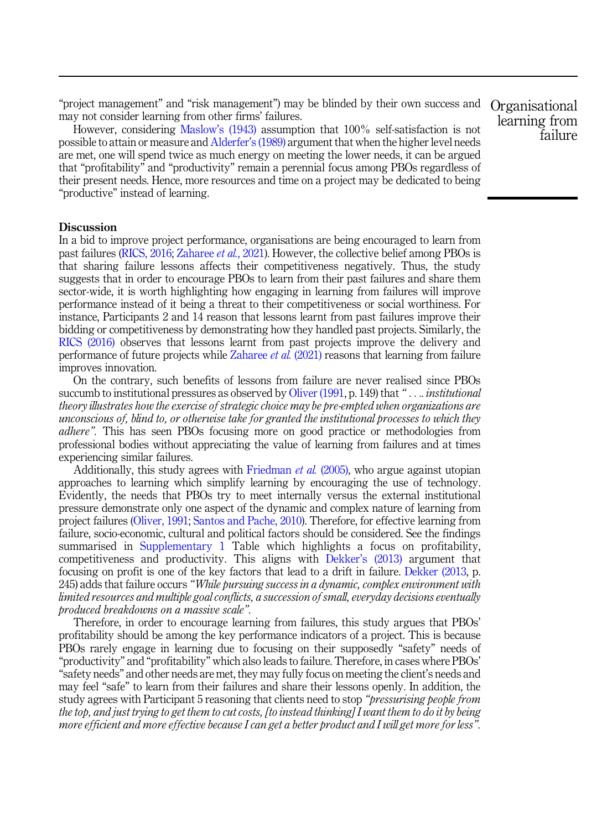"project management" and "risk management") may be blinded by their own success and Organisational may not consider learning from other firms' failures.

However, considering Maslow'[s \(1943\)](#page-10-0) assumption that 100% self-satisfaction is not possible to attain or measure and [Alderfer](#page-9-0)'s (1989) argument that when the higher level needs are met, one will spend twice as much energy on meeting the lower needs, it can be argued that "profitability" and "productivity" remain a perennial focus among PBOs regardless of their present needs. Hence, more resources and time on a project may be dedicated to being "productive" instead of learning.

#### Discussion

In a bid to improve project performance, organisations are being encouraged to learn from past failures ([RICS, 2016;](#page-10-0) [Zaharee](#page-11-0) *et al.*, 2021). However, the collective belief among PBOs is that sharing failure lessons affects their competitiveness negatively. Thus, the study suggests that in order to encourage PBOs to learn from their past failures and share them sector-wide, it is worth highlighting how engaging in learning from failures will improve performance instead of it being a threat to their competitiveness or social worthiness. For instance, Participants 2 and 14 reason that lessons learnt from past failures improve their bidding or competitiveness by demonstrating how they handled past projects. Similarly, the [RICS \(2016\)](#page-10-0) observes that lessons learnt from past projects improve the delivery and performance of future projects while [Zaharee](#page-11-0) et al. (2021) reasons that learning from failure improves innovation.

On the contrary, such benefits of lessons from failure are never realised since PBOs succumb to institutional pressures as observed by [Oliver \(1991](#page-10-0), p. 149) that "... *institutional* theory illustrates how the exercise of strategic choice may be pre-empted when organizations are unconscious of, blind to, or otherwise take for granted the institutional processes to which they adhere". This has seen PBOs focusing more on good practice or methodologies from professional bodies without appreciating the value of learning from failures and at times experiencing similar failures.

Additionally, this study agrees with [Friedman](#page-10-0) et al. (2005), who argue against utopian approaches to learning which simplify learning by encouraging the use of technology. Evidently, the needs that PBOs try to meet internally versus the external institutional pressure demonstrate only one aspect of the dynamic and complex nature of learning from project failures [\(Oliver, 1991](#page-10-0); [Santos and Pache, 2010](#page-10-0)). Therefore, for effective learning from failure, socio-economic, cultural and political factors should be considered. See the findings summarised in [Supplementary 1](#page-11-0) Table which highlights a focus on profitability, competitiveness and productivity. This aligns with Dekker'[s \(2013\)](#page-10-0) argument that focusing on profit is one of the key factors that lead to a drift in failure. [Dekker \(2013](#page-10-0), p. 245) adds that failure occurs "While pursuing success in a dynamic, complex environment with limited resources and multiple goal conflicts, a succession of small, everyday decisions eventually produced breakdowns on a massive scale".

Therefore, in order to encourage learning from failures, this study argues that PBOs' profitability should be among the key performance indicators of a project. This is because PBOs rarely engage in learning due to focusing on their supposedly "safety" needs of "productivity" and "profitability" which also leads to failure. Therefore, in cases where PBOs' "safety needs" and other needs are met, they may fully focus on meeting the client's needs and may feel "safe" to learn from their failures and share their lessons openly. In addition, the study agrees with Participant 5 reasoning that clients need to stop "*pressurising people from* the top, and just trying to get them to cut costs, [to instead thinking] I want them to do it by being more efficient and more effective because I can get a better product and I will get more for less".

learning from failure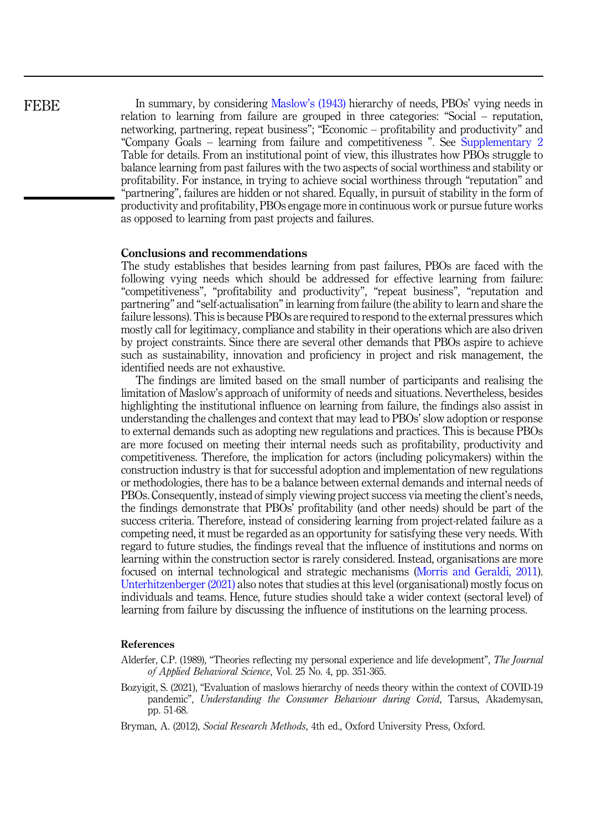<span id="page-9-0"></span>In summary, by considering [Maslow](#page-10-0)'s (1943) hierarchy of needs, PBOs' vying needs in relation to learning from failure are grouped in three categories: "Social – reputation, networking, partnering, repeat business"; "Economic – profitability and productivity" and "Company Goals – learning from failure and competitiveness ". See [Supplementary 2](#page-11-0) Table for details. From an institutional point of view, this illustrates how PBOs struggle to balance learning from past failures with the two aspects of social worthiness and stability or profitability. For instance, in trying to achieve social worthiness through "reputation" and "partnering", failures are hidden or not shared. Equally, in pursuit of stability in the form of productivity and profitability, PBOs engage more in continuous work or pursue future works as opposed to learning from past projects and failures.

# Conclusions and recommendations

The study establishes that besides learning from past failures, PBOs are faced with the following vying needs which should be addressed for effective learning from failure: "competitiveness", "profitability and productivity", "repeat business", "reputation and partnering" and "self-actualisation" in learning from failure (the ability to learn and share the failure lessons). This is because PBOs are required to respond to the external pressures which mostly call for legitimacy, compliance and stability in their operations which are also driven by project constraints. Since there are several other demands that PBOs aspire to achieve such as sustainability, innovation and proficiency in project and risk management, the identified needs are not exhaustive.

The findings are limited based on the small number of participants and realising the limitation of Maslow's approach of uniformity of needs and situations. Nevertheless, besides highlighting the institutional influence on learning from failure, the findings also assist in understanding the challenges and context that may lead to PBOs' slow adoption or response to external demands such as adopting new regulations and practices. This is because PBOs are more focused on meeting their internal needs such as profitability, productivity and competitiveness. Therefore, the implication for actors (including policymakers) within the construction industry is that for successful adoption and implementation of new regulations or methodologies, there has to be a balance between external demands and internal needs of PBOs. Consequently, instead of simply viewing project success via meeting the client's needs, the findings demonstrate that PBOs' profitability (and other needs) should be part of the success criteria. Therefore, instead of considering learning from project-related failure as a competing need, it must be regarded as an opportunity for satisfying these very needs. With regard to future studies, the findings reveal that the influence of institutions and norms on learning within the construction sector is rarely considered. Instead, organisations are more focused on internal technological and strategic mechanisms ([Morris and Geraldi, 2011\)](#page-10-0). [Unterhitzenberger \(2021\)](#page-10-0) also notes that studies at this level (organisational) mostly focus on individuals and teams. Hence, future studies should take a wider context (sectoral level) of learning from failure by discussing the influence of institutions on the learning process.

# References

Alderfer, C.P. (1989), "Theories reflecting my personal experience and life development", The Journal of Applied Behavioral Science, Vol. 25 No. 4, pp. 351-365.

- Bozyigit, S. (2021), "Evaluation of maslows hierarchy of needs theory within the context of COVID-19 pandemic", Understanding the Consumer Behaviour during Covid, Tarsus, Akademysan, pp. 51-68.
- Bryman, A. (2012), Social Research Methods, 4th ed., Oxford University Press, Oxford.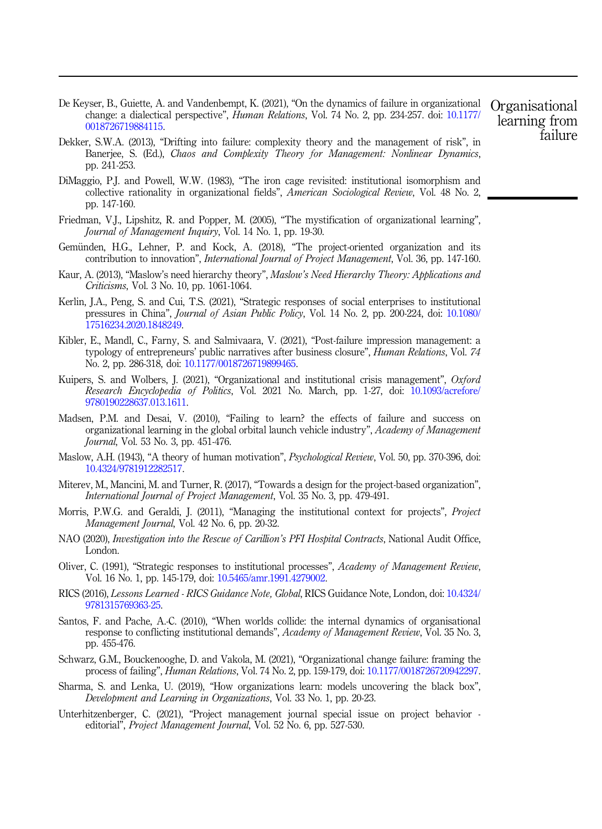- <span id="page-10-0"></span>De Keyser, B., Guiette, A. and Vandenbempt, K. (2021), "On the dynamics of failure in organizational change: a dialectical perspective", Human Relations, Vol. 74 No. 2, pp. 234-257. doi: [10.1177/](https://doi.org/10.1177/0018726719884115) [0018726719884115.](https://doi.org/10.1177/0018726719884115)
- Dekker, S.W.A. (2013), "Drifting into failure: complexity theory and the management of risk", in Banerjee, S. (Ed.), Chaos and Complexity Theory for Management: Nonlinear Dynamics, pp. 241-253.
- DiMaggio, P.J. and Powell, W.W. (1983), "The iron cage revisited: institutional isomorphism and collective rationality in organizational fields", American Sociological Review, Vol. 48 No. 2, pp. 147-160.
- Friedman, V.J., Lipshitz, R. and Popper, M. (2005), "The mystification of organizational learning", Journal of Management Inquiry, Vol. 14 No. 1, pp. 19-30.
- Gemünden, H.G., Lehner, P. and Kock, A. (2018), "The project-oriented organization and its contribution to innovation", *International Journal of Project Management*, Vol. 36, pp. 147-160.
- Kaur, A. (2013), "Maslow's need hierarchy theory", Maslow's Need Hierarchy Theory: Applications and Criticisms, Vol. 3 No. 10, pp. 1061-1064.
- Kerlin, J.A., Peng, S. and Cui, T.S. (2021), "Strategic responses of social enterprises to institutional pressures in China", Journal of Asian Public Policy, Vol. 14 No. 2, pp. 200-224, doi: [10.1080/](https://doi.org/10.1080/17516234.2020.1848249) [17516234.2020.1848249.](https://doi.org/10.1080/17516234.2020.1848249)
- Kibler, E., Mandl, C., Farny, S. and Salmivaara, V. (2021), "Post-failure impression management: a typology of entrepreneurs' public narratives after business closure", *Human Relations*, Vol. 74 No. 2, pp. 286-318, doi: [10.1177/0018726719899465.](https://doi.org/10.1177/0018726719899465)
- Kuipers, S. and Wolbers, J. (2021), "Organizational and institutional crisis management", Oxford Research Encyclopedia of Politics, Vol. 2021 No. March, pp. 1-27, doi: [10.1093/acrefore/](https://doi.org/10.1093/acrefore/9780190228637.013.1611) [9780190228637.013.1611.](https://doi.org/10.1093/acrefore/9780190228637.013.1611)
- Madsen, P.M. and Desai, V. (2010), "Failing to learn? the effects of failure and success on organizational learning in the global orbital launch vehicle industry", Academy of Management Journal, Vol. 53 No. 3, pp. 451-476.
- Maslow, A.H. (1943), "A theory of human motivation", Psychological Review, Vol. 50, pp. 370-396, doi: [10.4324/9781912282517](https://doi.org/10.4324/9781912282517).
- Miterev, M., Mancini, M. and Turner, R. (2017), "Towards a design for the project-based organization", International Journal of Project Management, Vol. 35 No. 3, pp. 479-491.
- Morris, P.W.G. and Geraldi, J. (2011), "Managing the institutional context for projects", *Project* Management Journal, Vol. 42 No. 6, pp. 20-32.
- NAO (2020), Investigation into the Rescue of Carillion's PFI Hospital Contracts, National Audit Office, London.
- Oliver, C. (1991), "Strategic responses to institutional processes", Academy of Management Review, Vol. 16 No. 1, pp. 145-179, doi: [10.5465/amr.1991.4279002.](https://doi.org/10.5465/amr.1991.4279002)
- RICS (2016), Lessons Learned RICS Guidance Note, Global, RICS Guidance Note, London, doi: [10.4324/](https://doi.org/10.4324/9781315769363-25) [9781315769363-25.](https://doi.org/10.4324/9781315769363-25)
- Santos, F. and Pache, A.-C. (2010), "When worlds collide: the internal dynamics of organisational response to conflicting institutional demands", Academy of Management Review, Vol. 35 No. 3, pp. 455-476.
- Schwarz, G.M., Bouckenooghe, D. and Vakola, M. (2021), "Organizational change failure: framing the process of failing", Human Relations, Vol. 74 No. 2, pp. 159-179, doi: [10.1177/0018726720942297](https://doi.org/10.1177/0018726720942297).
- Sharma, S. and Lenka, U. (2019), "How organizations learn: models uncovering the black box", Development and Learning in Organizations, Vol. 33 No. 1, pp. 20-23.
- Unterhitzenberger, C. (2021), "Project management journal special issue on project behavior editorial", Project Management Journal, Vol. 52 No. 6, pp. 527-530.

Organisational learning from failure